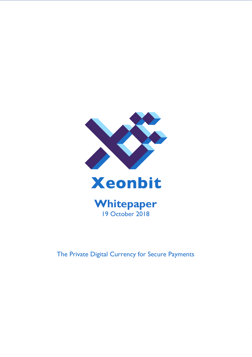

**Whitepaper** 19 October 2018

The Private Digital Currency for Secure Payments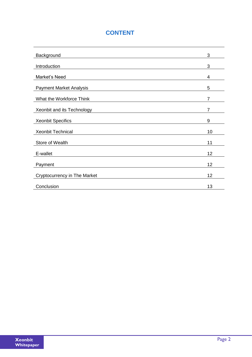# **CONTENT**

| Background                                        | 3              |
|---------------------------------------------------|----------------|
| Introduction                                      | 3              |
| Market's Need                                     | 4              |
| <b>Payment Market Analysis</b>                    | 5              |
| What the Workforce Think                          | 7              |
| Xeonbit and its Technology                        | $\overline{7}$ |
| <b>Xeonbit Specifics</b>                          | 9              |
| <b>Xeonbit Technical</b>                          | 10             |
| Store of Wealth                                   | 11             |
| E-wallet                                          | 12             |
| Payment                                           | 12             |
|                                                   | 12             |
| <b>Cryptocurrency in The Market</b><br>Conclusion | 13             |
|                                                   |                |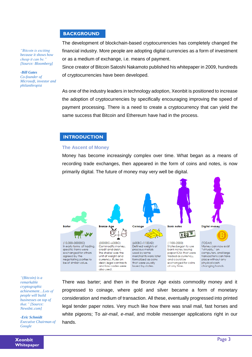#### **BACKGROUND**

*"Bitcoin is exciting because it shows how cheap it can be." [Source: Bloomberg]*

*-Bill Gates Co-founder of Microsoft, investor and philanthropist*

The development of blockchain-based cryptocurrencies has completely changed the financial industry. More people are adopting digital currencies as a form of investment or as a medium of exchange, i.e. means of payment. 

Since creator of Bitcoin Satoshi Nakamoto published his whitepaper in 2009, hundreds of cryptocurrencies have been developed.

As one of the industry leaders in technology adoption, Xeonbit is positioned to increase the adoption of cryptocurrencies by specifically encouraging improving the speed of payment processing. There is a need to create a cryptocurrency that can yield the same success that Bitcoin and Ethereum have had in the process.

#### **INTRODUCTION**

#### **The Ascent of Money**

Money has become increasingly complex over time. What began as a means of recording trade exchanges, then appeared in the form of coins and notes, is now primarily digital. The future of money may very well be digital.



*"(Bitcoin) is a remarkable cryptographic achievement…Lots of people will build businesses on top of that." [Source: Newsbtc.com]*

*-Eric Schmidt Executive Chairman of Google*

**Whitepaper**

There was barter; and then in the Bronze Age exists commodity money and it progressed to coinage, where gold and silver became a form of monetary consideration and medium of transaction. All these, eventually progressed into printed legal tender paper notes. Very much like how there was snail mail, fast horses and white pigeons; To *air-mail*, *e-mail*, and mobile messenger applications right in our hands.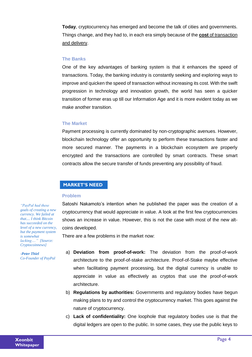**Today**, cryptocurrency has emerged and become the talk of cities and governments. Things change, and they had to, in each era simply because of the **cost** of transaction and delivery.

### **The Banks**

One of the key advantages of banking system is that it enhances the speed of transactions. Today, the banking industry is constantly seeking and exploring ways to improve and quicken the speed of transaction without increasing its cost. With the swift progression in technology and innovation growth, the world has seen a quicker transition of former eras up till our Information Age and it is more evident today as we make another transition.

#### **The Market**

Payment processing is currently dominated by non-cryptographic avenues. However, blockchain technology offer an opportunity to perform these transactions faster and more secured manner. The payments in a blockchain ecosystem are properly encrypted and the transactions are controlled by smart contracts. These smart contracts allow the secure transfer of funds preventing any possibility of fraud.

### **MARKET'S NEED**

#### **Problem**

Satoshi Nakamoto's intention when he published the paper was the creation of a cryptocurrency that would appreciate in value. A look at the first few cryptocurrencies shows an increase in value. However, this is not the case with most of the new altcoins developed.

There are a few problems in the market now:

- a) **Deviation from proof-of-work:** The deviation from the proof-of-work architecture to the proof-of-stake architecture. Proof-of-Stake maybe effective when facilitating payment processing, but the digital currency is unable to appreciate in value as effectively as cryptos that use the proof-of-work architecture.
- b) **Regulations by authorities:** Governments and regulatory bodies have begun making plans to try and control the cryptocurrency market. This goes against the nature of cryptocurrency.
- c) **Lack of confidentiality:** One loophole that regulatory bodies use is that the digital ledgers are open to the public. In some cases, they use the public keys to

*"PayPal had these goals of creating a new currency. We failed at that.... I think Bitcoin has succeeded on the level of a new currency, but the payment system is somewhat lacking…." [Source: Cryptocoinnews]*

*-Peter Thiel Co-Founder of PayPal*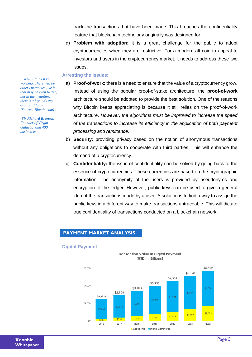track the transactions that have been made. This breaches the confidentiality feature that blockchain technology originally was designed for.

d) **Problem with adoption:** it is a great challenge for the public to adopt cryptocurrencies when they are restrictive. For a modern alt-coin to appeal to investors and users in the cryptocurrency market, it needs to address these two issues.

#### **Arresting the issues:**

- a) **Proof-of-work:** there is a need to ensure that the value of a cryptocurrency grow. Instead of using the popular proof-of-stake architecture, the **proof-of-work** architecture should be adopted to provide the best solution. One of the reasons why Bitcoin keeps appreciating is because it still relies on the proof-of-work architecture. *However, the algorithms must be improved to increase the speed of the transactions to increase its efficiency in the application of both payment processing and remittance.*
- b) **Security:** providing privacy based on the notion of anonymous transactions without any obligations to cooperate with third parties. This will enhance the demand of a cryptocurrency.
- c) **Confidentiality:** the issue of confidentiality can be solved by going back to the essence of cryptocurrencies. These currencies are based on the cryptographic information. The anonymity of the users is provided by pseudonyms and encryption of the ledger. However, public keys can be used to give a general idea of the transactions made by a user. A solution is to find a way to assign the public keys in a different way to make transactions untraceable. This will dictate true confidentiality of transactions conducted on a blockchain network.

#### **PAYMENT MARKET ANALYSIS**

#### **Digital Payment**



*"Well, I think it is working. There will be other currencies like it that may be even better, but in the meantime, there's a big industry around Bitcoin" [Source: Bitcoin.com]*

*-Sir Richard Branson Founder of Virgin Galactic, and 400+ businesses*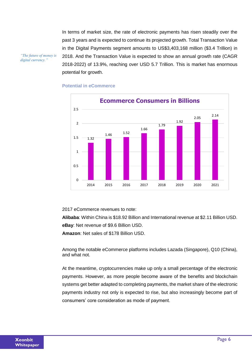In terms of market size, the rate of electronic payments has risen steadily over the past 3 years and is expected to continue its projected growth. Total Transaction Value in the Digital Payments segment amounts to US\$3,403,168 million (\$3.4 Trillion) in 2018. And the Transaction Value is expected to show an annual growth rate (CAGR 2018-2022) of 13.9%, reaching over USD 5.7 Trillion. This is market has enormous potential for growth.

*"The future of money is digital currency."*





2017 eCommerce revenues to note:

**Alibaba**: Within China is \$18.92 Billion and International revenue at \$2.11 Billion USD. **eBay**: Net revenue of \$9.6 Billion USD.

**Amazon**: Net sales of \$178 Billion USD.

Among the notable eCommerce platforms includes Lazada (Singapore), Q10 (China), and what not.

At the meantime, cryptocurrencies make up only a small percentage of the electronic payments. However, as more people become aware of the benefits and blockchain systems get better adapted to completing payments, the market share of the electronic payments industry not only is expected to rise, but also increasingly become part of consumers' core consideration as mode of payment.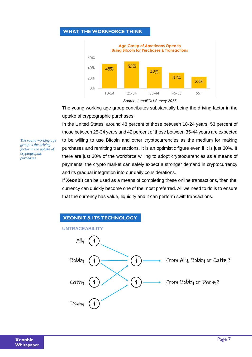# **WHAT THE WORKFORCE THINK**



*Source: LendEDU Survey 2017*

The young working age group contributes substantially being the driving factor in the uptake of cryptographic purchases.

In the United States, around 48 percent of those between 18-24 years, 53 percent of those between 25-34 years and 42 percent of those between 35-44 years are expected to be willing to use Bitcoin and other cryptocurrencies as the medium for making purchases and remitting transactions. It is an optimistic figure even if it is just 30%. If there are just 30% of the workforce willing to adopt cryptocurrencies as a means of payments, the crypto market can safely expect a stronger demand in cryptocurrency and its gradual integration into our daily considerations.

If **Xeonbit** can be used as a means of completing these online transactions, then the currency can quickly become one of the most preferred. All we need to do is to ensure that the currency has value, liquidity and it can perform swift transactions.



*The young working age group is the driving factor in the uptake of cryptographic purchases*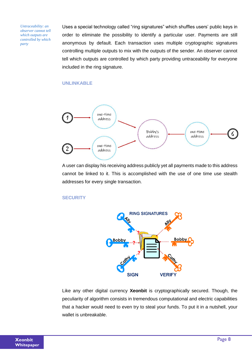*Untraceability: an observer cannot tell which outputs are controlled by which party*

Uses a special technology called "ring signatures" which shuffles users' public keys in order to eliminate the possibility to identify a particular user. Payments are still anonymous by default. Each transaction uses multiple cryptographic signatures controlling multiple outputs to mix with the outputs of the sender. An observer cannot tell which outputs are controlled by which party providing untraceability for everyone included in the ring signature.

### **UNLINKABLE**



A user can display his receiving address publicly yet all payments made to this address cannot be linked to it. This is accomplished with the use of one time use stealth addresses for every single transaction.

### **SECURITY**



Like any other digital currency **Xeonbit** is cryptographically secured. Though, the peculiarity of algorithm consists in tremendous computational and electric capabilities that a hacker would need to even try to steal your funds. To put it in a nutshell, your wallet is unbreakable.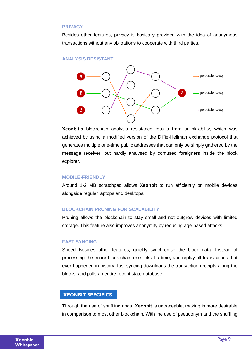#### **PRIVACY**

Besides other features, privacy is basically provided with the idea of anonymous transactions without any obligations to cooperate with third parties.





**Xeonbit's** blockchain analysis resistance results from unlink-ability, which was achieved by using a modified version of the Diffie-Hellman exchange protocol that generates multiple one-time public addresses that can only be simply gathered by the message receiver, but hardly analysed by confused foreigners inside the block explorer.

#### **MOBILE-FRIENDLY**

Around 1-2 MB scratchpad allows **Xeonbit** to run efficiently on mobile devices alongside regular laptops and desktops.

#### **BLOCKCHAIN PRUNING FOR SCALABILITY**

Pruning allows the blockchain to stay small and not outgrow devices with limited storage. This feature also improves anonymity by reducing age-based attacks.

#### **FAST SYNCING**

Speed Besides other features, quickly synchronise the block data. Instead of processing the entire block-chain one link at a time, and replay all transactions that ever happened in history, fast syncing downloads the transaction receipts along the blocks, and pulls an entire recent state database.

#### **XEONBIT SPECIFICS**

Through the use of shuffling rings, **Xeonbit** is untraceable, making is more desirable in comparison to most other blockchain. With the use of pseudonym and the shuffling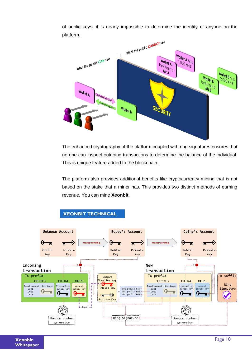of public keys, it is nearly impossible to determine the identity of anyone on the platform.



The enhanced cryptography of the platform coupled with ring signatures ensures that no one can inspect outgoing transactions to determine the balance of the individual. This is unique feature added to the blockchain.

The platform also provides additional benefits like cryptocurrency mining that is not based on the stake that a miner has. This provides two distinct methods of earning revenue. You can mine **Xeonbit**.



# **XEONBIT TECHNICAL**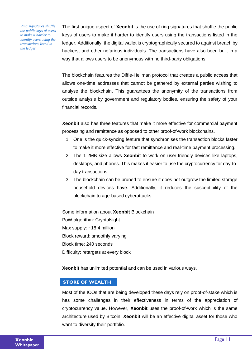*Ring signatures shuffle the public keys of users to make it harder to identify users using the transactions listed in the ledger*

The first unique aspect of **Xeonbit** is the use of ring signatures that shuffle the public keys of users to make it harder to identify users using the transactions listed in the ledger. Additionally, the digital wallet is cryptographically secured to against breach by hackers, and other nefarious individuals. The transactions have also been built in a way that allows users to be anonymous with no third-party obligations.

The blockchain features the Diffie-Hellman protocol that creates a public access that allows one-time addresses that cannot be gathered by external parties wishing to analyse the blockchain. This guarantees the anonymity of the transactions from outside analysis by government and regulatory bodies, ensuring the safety of your financial records.

**Xeonbit** also has three features that make it more effective for commercial payment processing and remittance as opposed to other proof-of-work blockchains.

- 1. One is the quick-syncing feature that synchronises the transaction blocks faster to make it more effective for fast remittance and real-time payment processing.
- 2. The 1-2MB size allows **Xeonbit** to work on user-friendly devices like laptops, desktops, and phones. This makes it easier to use the cryptocurrency for day-today transactions.
- 3. The blockchain can be pruned to ensure it does not outgrow the limited storage household devices have. Additionally, it reduces the susceptibility of the blockchain to age-based cyberattacks.

Some information about **Xeonbit** Blockchain PoW algorithm: CryptoNight Max supply: ~18.4 million Block reward: smoothly varying Block time: 240 seconds Difficulty: retargets at every block

**Xeonbit** has unlimited potential and can be used in various ways.

# **STORE OF WEALTH**

Most of the ICOs that are being developed these days rely on proof-of-stake which is has some challenges in their effectiveness in terms of the appreciation of cryptocurrency value. However, **Xeonbit** uses the proof-of-work which is the same architecture used by Bitcoin. **Xeonbit** will be an effective digital asset for those who want to diversify their portfolio.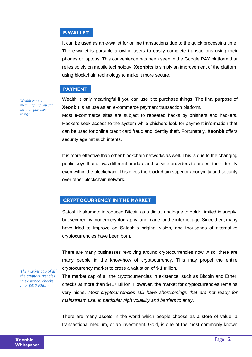## **E-WALLET**

It can be used as an e-wallet for online transactions due to the quick processing time. The e-wallet is portable allowing users to easily complete transactions using their phones or laptops. This convenience has been seen in the Google PAY platform that relies solely on mobile technology. **Xeonbits** is simply an improvement of the platform  using blockchain technology to make it more secure.

## **PAYMENT**

*Wealth is only meaningful if you can use it to purchase things.*

Wealth is only meaningful if you can use it to purchase things. The final purpose of **Xeonbit** is as use as an e-commerce payment transaction platform. 

Most e-commerce sites are subject to repeated hacks by phishers and hackers. Hackers seek access to the system while phishers look for payment information that can be used for online credit card fraud and identity theft. Fortunately, **Xeonbit** offers security against such intents.

It is more effective than other blockchain networks as well. This is due to the changing public keys that allows different product and service providers to protect their identity even within the blockchain. This gives the blockchain superior anonymity and security over other blockchain network.

# **CRYPTOCURRENCY IN THE MARKET**

Satoshi Nakamoto introduced Bitcoin as a digital analogue to gold: Limited in supply, but secured by modern cryptography, and made for the internet age. Since then, many have tried to improve on Satoshi's original vision, and thousands of alternative cryptocurrencies have been born.

There are many businesses revolving around cryptocurrencies now. Also, there are many people in the know-how of cryptocurrency. This may propel the entire cryptocurrency market to cross a valuation of \$ 1 trillion.

*The market cap of all the cryptocurrencies in existence, checks at > \$417 Billion*

The market cap of all the cryptocurrencies in existence, such as Bitcoin and Ether, checks at more than \$417 Billion. However, the market for cryptocurrencies remains very niche. *Most cryptocurrencies still have shortcomings that are not ready for mainstream use, in particular high volatility and barriers to entry.*

There are many assets in the world which people choose as a store of value, a transactional medium, or an investment. Gold, is one of the most commonly known